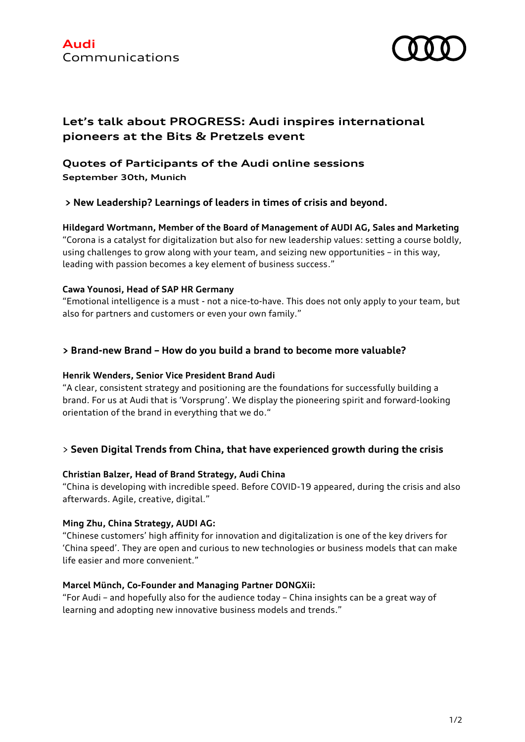

# **Let's talk about PROGRESS: Audi inspires international pioneers at the Bits & Pretzels event**

# **Quotes of Participants of the Audi online sessions September 30th, Munich**

**> New Leadership? Learnings of leaders in times of crisis and beyond.**

**Hildegard Wortmann, Member of the Board of Management of AUDI AG, Sales and Marketing** "Corona is a catalyst for digitalization but also for new leadership values: setting a course boldly, using challenges to grow along with your team, and seizing new opportunities – in this way, leading with passion becomes a key element of business success."

### **Cawa Younosi, Head of SAP HR Germany**

"Emotional intelligence is a must - not a nice-to-have. This does not only apply to your team, but also for partners and customers or even your own family."

### **> Brand-new Brand – How do you build a brand to become more valuable?**

### **Henrik Wenders, Senior Vice President Brand Audi**

"A clear, consistent strategy and positioning are the foundations for successfully building a brand. For us at Audi that is 'Vorsprung'. We display the pioneering spirit and forward-looking orientation of the brand in everything that we do."

### > **Seven Digital Trends from China, that have experienced growth during the crisis**

### **Christian Balzer, Head of Brand Strategy, Audi China**

"China is developing with incredible speed. Before COVID-19 appeared, during the crisis and also afterwards. Agile, creative, digital."

### **Ming Zhu, China Strategy, AUDI AG:**

"Chinese customers' high affinity for innovation and digitalization is one of the key drivers for 'China speed'. They are open and curious to new technologies or business models that can make life easier and more convenient."

### **Marcel Münch, Co-Founder and Managing Partner DONGXii:**

"For Audi – and hopefully also for the audience today – China insights can be a great way of learning and adopting new innovative business models and trends."